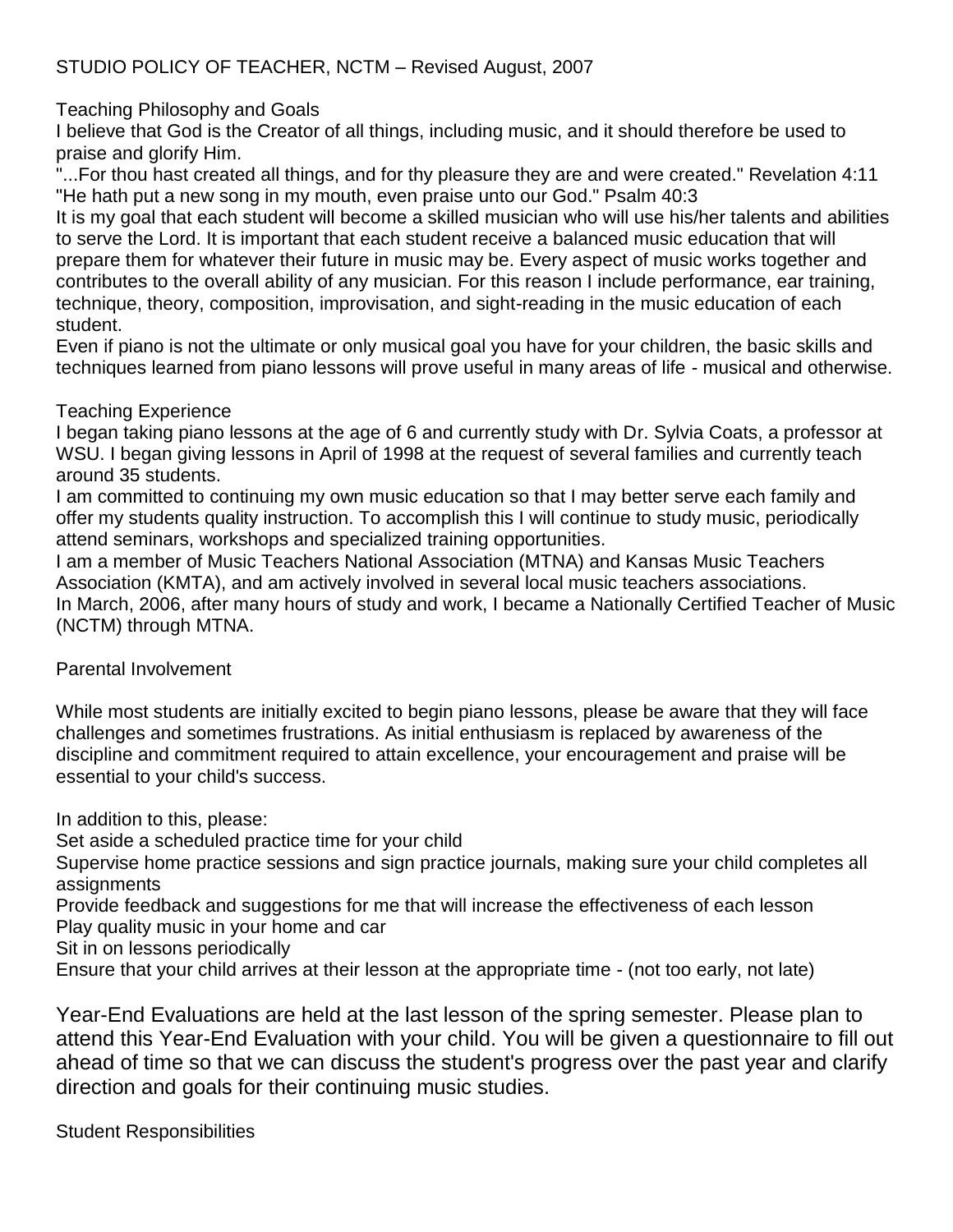# Teaching Philosophy and Goals

I believe that God is the Creator of all things, including music, and it should therefore be used to praise and glorify Him.

"...For thou hast created all things, and for thy pleasure they are and were created." Revelation 4:11 "He hath put a new song in my mouth, even praise unto our God." Psalm 40:3

It is my goal that each student will become a skilled musician who will use his/her talents and abilities to serve the Lord. It is important that each student receive a balanced music education that will prepare them for whatever their future in music may be. Every aspect of music works together and contributes to the overall ability of any musician. For this reason I include performance, ear training, technique, theory, composition, improvisation, and sight-reading in the music education of each student.

Even if piano is not the ultimate or only musical goal you have for your children, the basic skills and techniques learned from piano lessons will prove useful in many areas of life - musical and otherwise.

## Teaching Experience

I began taking piano lessons at the age of 6 and currently study with Dr. Sylvia Coats, a professor at WSU. I began giving lessons in April of 1998 at the request of several families and currently teach around 35 students.

I am committed to continuing my own music education so that I may better serve each family and offer my students quality instruction. To accomplish this I will continue to study music, periodically attend seminars, workshops and specialized training opportunities.

I am a member of Music Teachers National Association (MTNA) and Kansas Music Teachers Association (KMTA), and am actively involved in several local music teachers associations. In March, 2006, after many hours of study and work, I became a Nationally Certified Teacher of Music (NCTM) through MTNA.

## Parental Involvement

While most students are initially excited to begin piano lessons, please be aware that they will face challenges and sometimes frustrations. As initial enthusiasm is replaced by awareness of the discipline and commitment required to attain excellence, your encouragement and praise will be essential to your child's success.

In addition to this, please:

Set aside a scheduled practice time for your child

Supervise home practice sessions and sign practice journals, making sure your child completes all assignments

Provide feedback and suggestions for me that will increase the effectiveness of each lesson Play quality music in your home and car

Sit in on lessons periodically

Ensure that your child arrives at their lesson at the appropriate time - (not too early, not late)

Year-End Evaluations are held at the last lesson of the spring semester. Please plan to attend this Year-End Evaluation with your child. You will be given a questionnaire to fill out ahead of time so that we can discuss the student's progress over the past year and clarify direction and goals for their continuing music studies.

Student Responsibilities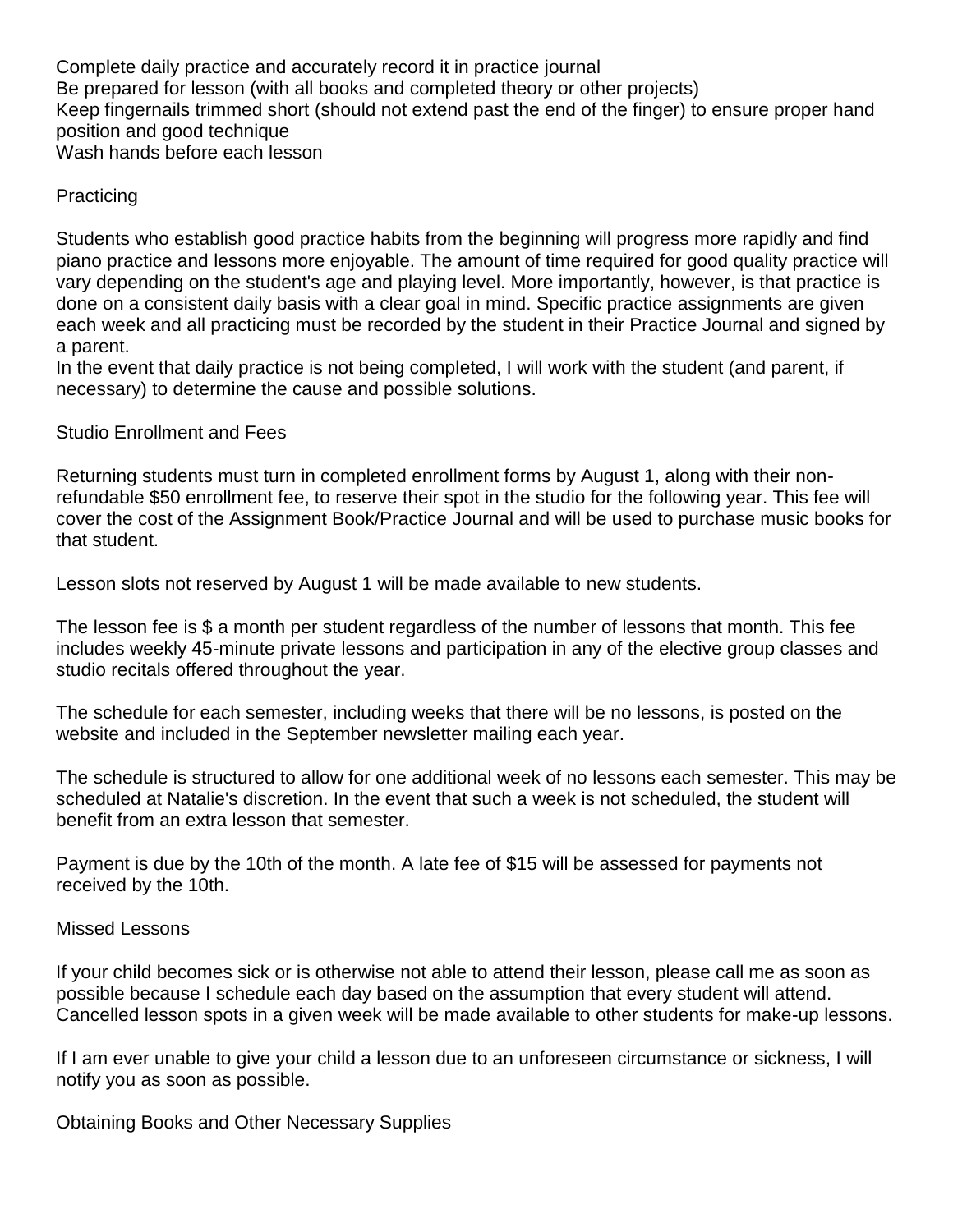Complete daily practice and accurately record it in practice journal Be prepared for lesson (with all books and completed theory or other projects) Keep fingernails trimmed short (should not extend past the end of the finger) to ensure proper hand position and good technique Wash hands before each lesson

## **Practicing**

Students who establish good practice habits from the beginning will progress more rapidly and find piano practice and lessons more enjoyable. The amount of time required for good quality practice will vary depending on the student's age and playing level. More importantly, however, is that practice is done on a consistent daily basis with a clear goal in mind. Specific practice assignments are given each week and all practicing must be recorded by the student in their Practice Journal and signed by a parent.

In the event that daily practice is not being completed, I will work with the student (and parent, if necessary) to determine the cause and possible solutions.

Studio Enrollment and Fees

Returning students must turn in completed enrollment forms by August 1, along with their nonrefundable \$50 enrollment fee, to reserve their spot in the studio for the following year. This fee will cover the cost of the Assignment Book/Practice Journal and will be used to purchase music books for that student.

Lesson slots not reserved by August 1 will be made available to new students.

The lesson fee is \$ a month per student regardless of the number of lessons that month. This fee includes weekly 45-minute private lessons and participation in any of the elective group classes and studio recitals offered throughout the year.

The schedule for each semester, including weeks that there will be no lessons, is posted on the website and included in the September newsletter mailing each year.

The schedule is structured to allow for one additional week of no lessons each semester. This may be scheduled at Natalie's discretion. In the event that such a week is not scheduled, the student will benefit from an extra lesson that semester.

Payment is due by the 10th of the month. A late fee of \$15 will be assessed for payments not received by the 10th.

#### Missed Lessons

If your child becomes sick or is otherwise not able to attend their lesson, please call me as soon as possible because I schedule each day based on the assumption that every student will attend. Cancelled lesson spots in a given week will be made available to other students for make-up lessons.

If I am ever unable to give your child a lesson due to an unforeseen circumstance or sickness, I will notify you as soon as possible.

Obtaining Books and Other Necessary Supplies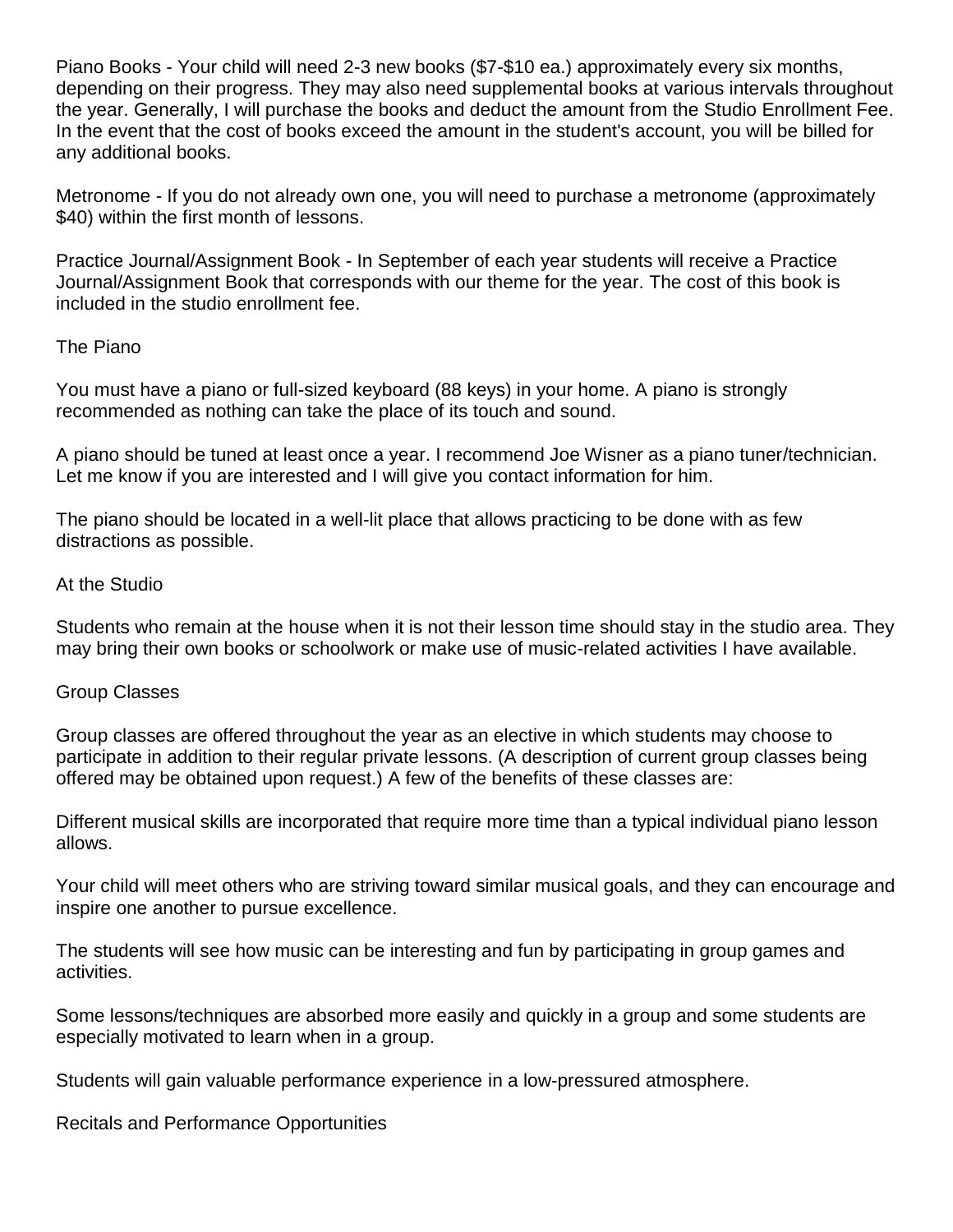Piano Books - Your child will need 2-3 new books (\$7-\$10 ea.) approximately every six months, depending on their progress. They may also need supplemental books at various intervals throughout the year. Generally, I will purchase the books and deduct the amount from the Studio Enrollment Fee. In the event that the cost of books exceed the amount in the student's account, you will be billed for any additional books.

Metronome - If you do not already own one, you will need to purchase a metronome (approximately \$40) within the first month of lessons.

Practice Journal/Assignment Book - In September of each year students will receive a Practice Journal/Assignment Book that corresponds with our theme for the year. The cost of this book is included in the studio enrollment fee.

#### The Piano

You must have a piano or full-sized keyboard (88 keys) in your home. A piano is strongly recommended as nothing can take the place of its touch and sound.

A piano should be tuned at least once a year. I recommend Joe Wisner as a piano tuner/technician. Let me know if you are interested and I will give you contact information for him.

The piano should be located in a well-lit place that allows practicing to be done with as few distractions as possible.

#### At the Studio

Students who remain at the house when it is not their lesson time should stay in the studio area. They may bring their own books or schoolwork or make use of music-related activities I have available.

#### Group Classes

Group classes are offered throughout the year as an elective in which students may choose to participate in addition to their regular private lessons. (A description of current group classes being offered may be obtained upon request.) A few of the benefits of these classes are:

Different musical skills are incorporated that require more time than a typical individual piano lesson allows.

Your child will meet others who are striving toward similar musical goals, and they can encourage and inspire one another to pursue excellence.

The students will see how music can be interesting and fun by participating in group games and activities.

Some lessons/techniques are absorbed more easily and quickly in a group and some students are especially motivated to learn when in a group.

Students will gain valuable performance experience in a low-pressured atmosphere.

Recitals and Performance Opportunities